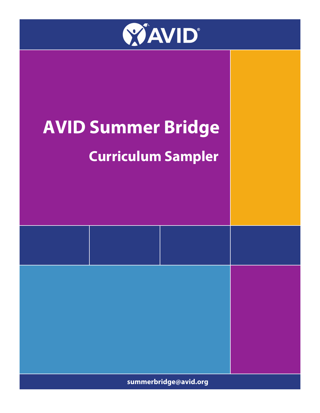

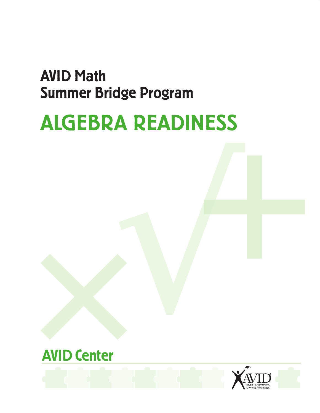## AVID Math Summer Bridge Program

# ALGEBRA READINESS



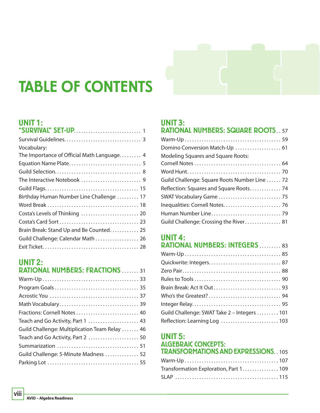## TABLE OF CONTENTS

#### UNIT 1:

| Vocabulary:                                |
|--------------------------------------------|
| The Importance of Official Math Language 4 |
|                                            |
|                                            |
|                                            |
|                                            |
| Birthday Human Number Line Challenge  17   |
|                                            |
|                                            |
|                                            |
| Brain Break: Stand Up and Be Counted 25    |
| Guild Challenge: Calendar Math  26         |
|                                            |
|                                            |

### UNIT 2:

| <b>RATIONAL NUMBERS: FRACTIONS  31</b>         |
|------------------------------------------------|
|                                                |
|                                                |
|                                                |
|                                                |
| Fractions: Cornell Notes  40                   |
| Teach and Go Activity, Part 1  43              |
| Guild Challenge: Multiplication Team Relay  46 |
| Teach and Go Activity, Part 2  50              |
|                                                |
| Guild Challenge: 5-Minute Madness  52          |
|                                                |
|                                                |

#### UNIT 3:

| <b>RATIONAL NUMBERS: SQUARE ROOTS 57</b>      |
|-----------------------------------------------|
|                                               |
|                                               |
| Modeling Squares and Square Roots:            |
|                                               |
|                                               |
| Guild Challenge: Square Roots Number Line  72 |
| Reflection: Squares and Square Roots 74       |
|                                               |
|                                               |
|                                               |
| Guild Challenge: Crossing the River 81        |

## UNIT 4:

| <b>RATIONAL NUMBERS: INTEGERS  83</b>       |
|---------------------------------------------|
|                                             |
|                                             |
|                                             |
|                                             |
|                                             |
|                                             |
|                                             |
| Guild Challenge: SWAT Take 2 – Integers 101 |
| Reflection: Learning Log  103               |

#### UNIT 5: ALGEBRAIC CONCEPTS: TRANSFORMATIONS AND EXPRESSIONS 105

| Transformation Exploration, Part 1 109 |  |
|----------------------------------------|--|
|                                        |  |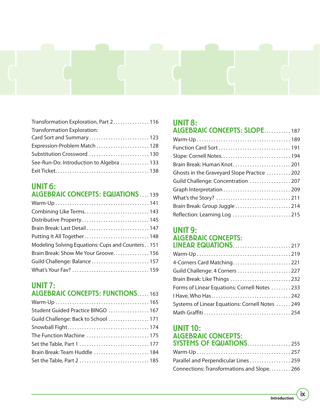

| Transformation Exploration, Part 2. 116  |
|------------------------------------------|
| Transformation Exploration:              |
| Card Sort and Summary 123                |
| Expression-Problem Match  128            |
|                                          |
| See-Run-Do: Introduction to Algebra  133 |
|                                          |

### UNIT 6:

| <b>ALGEBRAIC CONCEPTS: EQUATIONS 139</b>          |
|---------------------------------------------------|
|                                                   |
| Combining Like Terms 143                          |
|                                                   |
| Brain Break: Last Detail  147                     |
| Putting It All Together 148                       |
| Modeling Solving Equations: Cups and Counters 151 |
| Brain Break: Show Me Your Groove 156              |
| Guild Challenge: Balance 157                      |
|                                                   |

#### UNIT 7: ALGEBRAIC CONCEPTS: FUNCTIONS.....163

| Student Guided Practice BINGO  167   |
|--------------------------------------|
| Guild Challenge: Back to School  171 |
|                                      |
| The Function Machine  175            |
|                                      |
| Brain Break: Team Huddle  184        |
| Set the Table, Part 2  185           |
|                                      |

#### UNIT 8:

| <b>ALGEBRAIC CONCEPTS: SLOPE187</b>         |
|---------------------------------------------|
|                                             |
|                                             |
|                                             |
|                                             |
| Ghosts in the Graveyard Slope Practice  202 |
| Guild Challenge: Concentration  207         |
| Graph Interpretation  209                   |
|                                             |
|                                             |
| Reflection: Learning Log  215               |

#### UNIT 9: ALGEBRAIC CONCEPTS: LINEAR EQUATIONS . . . . . . . . . . . . . . . . . . . . . . . . 217

| 4-Corners Card Matching 221                     |
|-------------------------------------------------|
| Guild Challenge: 4 Corners  227                 |
| Brain Break: Like Things  232                   |
| Forms of Linear Equations: Cornell Notes  233   |
|                                                 |
| Systems of Linear Equations: Cornell Notes  249 |
|                                                 |

#### UNIT 10: ALGEBRAIC CONCEPTS: **SYSTEMS OF EQUATIONS..................255**

| Parallel and Perpendicular Lines  259      |  |
|--------------------------------------------|--|
| Connections: Transformations and Slope 266 |  |

**ix**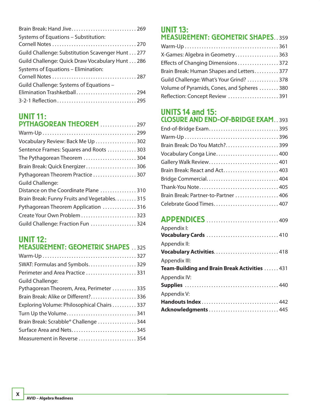| Brain Break: Hand Jive 269                       |  |
|--------------------------------------------------|--|
| Systems of Equations - Substitution:             |  |
|                                                  |  |
| Guild Challenge: Substitution Scavenger Hunt 277 |  |
| Guild Challenge: Quick Draw Vocabulary Hunt 286  |  |
| Systems of Equations - Elimination:              |  |
|                                                  |  |
| Guild Challenge: Systems of Equations -          |  |
| Elimination Trashketball 294                     |  |
|                                                  |  |

#### UNIT 11: **DYTHAGODFAN THEODFM** 207

| FIIIMUVRLMII IIILVRLI I 27/                   |
|-----------------------------------------------|
|                                               |
| Vocabulary Review: Back Me Up  302            |
| Sentence Frames: Squares and Roots  303       |
| The Pythagorean Theorem  304                  |
| Brain Break: Quick Energizer 306              |
| Pythagorean Theorem Practice  307             |
| <b>Guild Challenge:</b>                       |
| Distance on the Coordinate Plane 310          |
| Brain Break: Funny Fruits and Vegetables. 315 |
| Pythagorean Theorem Application 316           |
| Create Your Own Problem  323                  |
| Guild Challenge: Fraction Fun  324            |

#### UNIT 12: MEASUREMENT: GEOMETRIC SHAPES . . 325

#### UNIT 13: MEASUREMENT: GEOMETRIC SHAPES 359

| X-Games: Algebra in Geometry 363           |
|--------------------------------------------|
| Effects of Changing Dimensions 372         |
| Brain Break: Human Shapes and Letters377   |
| Guild Challenge: What's Your Grind? 378    |
| Volume of Pyramids, Cones, and Spheres 380 |
| Reflection: Concept Review  391            |

#### UNITS 14 and 15: CLOSURE AND END-OF-BRIDGE EXAM . . 393

| Vocabulary Conga Line 400            |
|--------------------------------------|
| Gallery Walk Review 401              |
| Brain Break: React and Act 403       |
| Bridge Commercial 404                |
| Thank-You Note 405                   |
| Brain Break: Partner-to-Partner  406 |
| Celebrate Good Times 407             |

## APPENDICES . . . . . . . . . . . . . . . . . . . . . . . . . . . . . . 409

| Appendix I:<br>Vocabulary Cards  410          |
|-----------------------------------------------|
| Appendix II:                                  |
| Vocabulary Activities418                      |
| Appendix III:                                 |
| Team-Building and Brain Break Activities  431 |
| Appendix IV:                                  |
|                                               |
| Appendix V:                                   |
| Handouts Index 442                            |
| Acknowledgments445                            |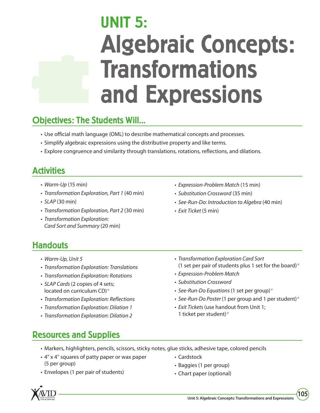# UNIT 5: Algebraic Concepts: Transformations and Expressions

## Objectives: The Students Will...

- Use official math language (OML) to describe mathematical concepts and processes.
- Simplify algebraic expressions using the distributive property and like terms.
- Explore congruence and similarity through translations, rotations, reflections, and dilations.

## **Activities**

- Warm-Up (15 min)
- Transformation Exploration, Part 1 (40 min)
- $\cdot$  SLAP (30 min)
- Transformation Exploration, Part 2 (30 min)
- Transformation Exploration: Card Sort and Summary (20 min)
- Expression-Problem Match (15 min)
- Substitution Crossword (35 min)
- See-Run-Do: Introduction to Algebra (40 min)
- Exit Ticket (5 min)

### **Handouts**

- Warm-Up, Unit 5
- Transformation Exploration: Translations
- Transformation Exploration: Rotations
- SLAP Cards (2 copies of 4 sets; located on curriculum CD)\*
- Transformation Exploration: Reflections
- Transformation Exploration: Dilation 1
- Transformation Exploration: Dilation 2
- Transformation Exploration Card Sort (1 set per pair of students plus 1 set for the board)\*
- Expression-Problem Match
- Substitution Crossword
- See-Run-Do Equations (1 set per group)\*
- See-Run-Do Poster (1 per group and 1 per student) $*$
- Exit Tickets (use handout from Unit 1; 1 ticket per student)\*

## Resources and Supplies

- Markers, highlighters, pencils, scissors, sticky notes, glue sticks, adhesive tape, colored pencils
- 4" x 4" squares of patty paper or wax paper (5 per group)
- Envelopes (1 per pair of students)
- Cardstock
- Baggies (1 per group)
- Chart paper (optional)

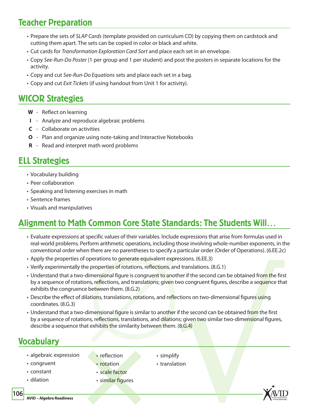## Teacher Preparation

- Prepare the sets of SLAP Cards (template provided on curriculum CD) by copying them on cardstock and cutting them apart. The sets can be copied in color or black and white.
- Cut cards for Transformation Exploration Card Sort and place each set in an envelope.
- Copy See-Run-Do Poster (1 per group and 1 per student) and post the posters in separate locations for the activity.
- Copy and cut See-Run-Do Equations sets and place each set in a bag.
- Copy and cut Exit Tickets (if using handout from Unit 1 for activity).

### WICOR Strategies

- **W** Reflect on learning
- **I** Analyze and reproduce algebraic problems
- **C** Collaborate on activities
- **O** Plan and organize using note-taking and Interactive Notebooks
- **R** Read and interpret math word problems

### ELL Strategies

- Vocabulary building
- Peer collaboration
- Speaking and listening exercises in math
- Sentence frames
- Visuals and manipulatives

## Alignment to Math Common Core State Standards: The Students Will…

- Evaluate expressions at specific values of their variables. Include expressions that arise from formulas used in real-world problems. Perform arithmetic operations, including those involving whole-number exponents, in the conventional order when there are no parentheses to specify a particular order (Order of Operations). (6.EE.2c)
- Apply the properties of operations to generate equivalent expressions. (6.EE.3)
- Verify experimentally the properties of rotations, reflections, and translations. (8.G.1)
- Understand that a two-dimensional figure is congruent to another if the second can be obtained from the first by a sequence of rotations, reflections, and translations; given two congruent figures, describe a sequence that exhibits the congruence between them. (8.G.2)
- Describe the effect of dilations, translations, rotations, and reflections on two-dimensional figures using coordinates. (8.G.3)
- Understand that a two-dimensional figure is similar to another if the second can be obtained from the first by a sequence of rotations, reflections, translations, and dilations; given two similar two-dimensional figures, describe a sequence that exhibits the similarity between them. (8.G.4)

#### Vocabulary

- algebraic expression
- congruent
- constant
- dilation

• reflection

• rotation

- simplify
	- translation
- scale factor
- similar figures



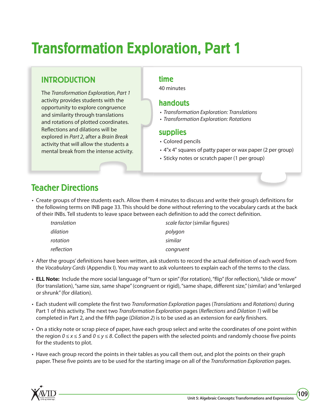## Transformation Exploration, Part 1

#### INTRODUCTION

The Transformation Exploration, Part 1 activity provides students with the opportunity to explore congruence and similarity through translations and rotations of plotted coordinates. Reflections and dilations will be explored in Part 2, after a Brain Break activity that will allow the students a mental break from the intense activity.

#### time

40 minutes

#### handouts

- Transformation Exploration: Translations
- Transformation Exploration: Rotations

#### supplies

- Colored pencils
- 4"x 4" squares of patty paper or wax paper (2 per group)
- Sticky notes or scratch paper (1 per group)

## Teacher Directions

• Create groups of three students each. Allow them 4 minutes to discuss and write their group's definitions for the following terms on INB page 33. This should be done without referring to the vocabulary cards at the back of their INBs. Tell students to leave space between each definition to add the correct definition.

| translation | scale factor (similar figures) |
|-------------|--------------------------------|
| dilation    | polygon                        |
| rotation    | similar                        |
| reflection  | congruent                      |

- After the groups' definitions have been written, ask students to record the actual definition of each word from the Vocabulary Cards (Appendix I). You may want to ask volunteers to explain each of the terms to the class.
- **ELL Note:** Include the more social language of "turn or spin" (for rotation), "flip" (for reflection), "slide or move" (for translation), "same size, same shape" (congruent or rigid), "same shape, different size," (similar) and "enlarged or shrunk" (for dilation).
- Each student will complete the first two Transformation Exploration pages (Translations and Rotations) during Part 1 of this activity. The next two *Transformation Exploration* pages (*Reflections* and *Dilation 1*) will be completed in Part 2, and the fifth page (Dilation 2) is to be used as an extension for early finishers.
- On a sticky note or scrap piece of paper, have each group select and write the coordinates of one point within the region  $0 \le x \le 5$  and  $0 \le y \le 8$ . Collect the papers with the selected points and randomly choose five points for the students to plot.
- Have each group record the points in their tables as you call them out, and plot the points on their graph paper. These five points are to be used for the starting image on all of the Transformation Exploration pages.

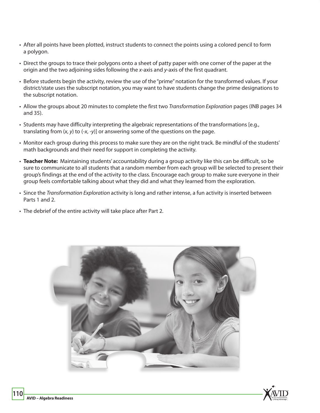- After all points have been plotted, instruct students to connect the points using a colored pencil to form a polygon.
- Direct the groups to trace their polygons onto a sheet of patty paper with one corner of the paper at the origin and the two adjoining sides following the x-axis and y-axis of the first quadrant.
- Before students begin the activity, review the use of the "prime" notation for the transformed values. If your district/state uses the subscript notation, you may want to have students change the prime designations to the subscript notation.
- Allow the groups about 20 minutes to complete the first two Transformation Exploration pages (INB pages 34 and 35).
- Students may have difficulty interpreting the algebraic representations of the transformations [e.g., translating from  $(x, y)$  to  $(-x, -y)$ ] or answering some of the questions on the page.
- Monitor each group during this process to make sure they are on the right track. Be mindful of the students' math backgrounds and their need for support in completing the activity.
- **Teacher Note:** Maintaining students' accountability during a group activity like this can be difficult, so be sure to communicate to all students that a random member from each group will be selected to present their group's findings at the end of the activity to the class. Encourage each group to make sure everyone in their group feels comfortable talking about what they did and what they learned from the exploration.
- Since the Transformation Exploration activity is long and rather intense, a fun activity is inserted between Parts 1 and 2.
- The debrief of the entire activity will take place after Part 2.

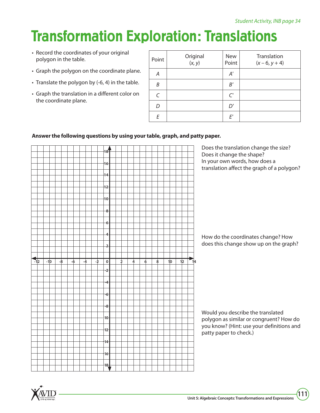## Transformation Exploration: Translations

- Record the coordinates of your original polygon in the table.
- Graph the polygon on the coordinate plane.
- Translate the polygon by (-6, 4) in the table.
- Graph the translation in a different color on the coordinate plane.

| Point         | Original<br>$(x, y)$ | <b>New</b><br>Point | Translation<br>$(x - 6, y + 4)$ |
|---------------|----------------------|---------------------|---------------------------------|
| Α             |                      | A'                  |                                 |
| B             |                      | B'                  |                                 |
| $\mathcal{C}$ |                      | C'                  |                                 |
| D             |                      | D'                  |                                 |
| F             |                      | E'                  |                                 |

#### **Answer the following questions by using your table, graph, and patty paper.**



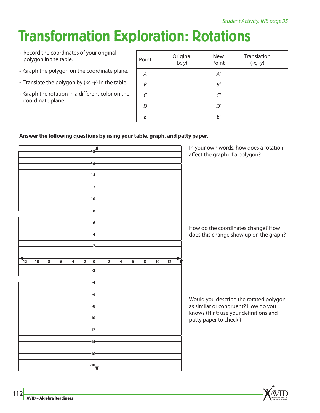## Transformation Exploration: Rotations

- Record the coordinates of your original polygon in the table.
- Graph the polygon on the coordinate plane.
- Translate the polygon by (-x, -y) in the table.
- Graph the rotation in a different color on the coordinate plane.

| Point     | Original<br>$(x, y)$ | <b>New</b><br>Point | Translation<br>$(-x, -y)$ |
|-----------|----------------------|---------------------|---------------------------|
| А         |                      | A'                  |                           |
| B         |                      | B'                  |                           |
| $\subset$ |                      | C'                  |                           |
| D         |                      | D'                  |                           |
| F         |                      | E'                  |                           |

#### **Answer the following questions by using your table, graph, and patty paper.**

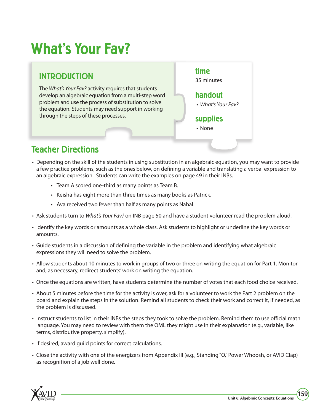## What's Your Fav?

### INTRODUCTION

The What's Your Fav? activity requires that students develop an algebraic equation from a multi-step word problem and use the process of substitution to solve the equation. Students may need support in working through the steps of these processes.



## Teacher Directions

- Depending on the skill of the students in using substitution in an algebraic equation, you may want to provide a few practice problems, such as the ones below, on defining a variable and translating a verbal expression to an algebraic expression. Students can write the examples on page 49 in their INBs.
	- Team A scored one-third as many points as Team B.
	- Keisha has eight more than three times as many books as Patrick.
	- Ava received two fewer than half as many points as Nahal.
- Ask students turn to *What's Your Fav?* on INB page 50 and have a student volunteer read the problem aloud.
- Identify the key words or amounts as a whole class. Ask students to highlight or underline the key words or amounts.
- Guide students in a discussion of defining the variable in the problem and identifying what algebraic expressions they will need to solve the problem.
- Allow students about 10 minutes to work in groups of two or three on writing the equation for Part 1. Monitor and, as necessary, redirect students' work on writing the equation.
- Once the equations are written, have students determine the number of votes that each food choice received.
- About 5 minutes before the time for the activity is over, ask for a volunteer to work the Part 2 problem on the board and explain the steps in the solution. Remind all students to check their work and correct it, if needed, as the problem is discussed.
- Instruct students to list in their INBs the steps they took to solve the problem. Remind them to use official math language. You may need to review with them the OML they might use in their explanation (e.g., variable, like terms, distributive property, simplify).
- If desired, award guild points for correct calculations.
- Close the activity with one of the energizers from Appendix III (e.g., Standing "O," Power Whoosh, or AVID Clap) as recognition of a job well done.